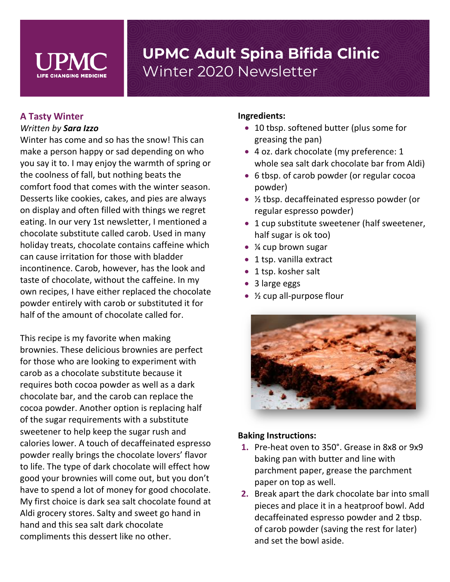

## **A Tasty Winter** *Written by Sara Izzo*

Winter has come and so has the snow! This can make a person happy or sad depending on who you say it to. I may enjoy the warmth of spring or the coolness of fall, but nothing beats the comfort food that comes with the winter season. Desserts like cookies, cakes, and pies are always on display and often filled with things we regret eating. In our very 1st newsletter, I mentioned a chocolate substitute called carob. Used in many holiday treats, chocolate contains caffeine which can cause irritation for those with bladder incontinence. Carob, however, has the look and taste of chocolate, without the caffeine. In my own recipes, I have either replaced the chocolate powder entirely with carob or substituted it for half of the amount of chocolate called for.

This recipe is my favorite when making brownies. These delicious brownies are perfect for those who are looking to experiment with carob as a chocolate substitute because it requires both cocoa powder as well as a dark chocolate bar, and the carob can replace the cocoa powder. Another option is replacing half of the sugar requirements with a substitute sweetener to help keep the sugar rush and calories lower. A touch of decaffeinated espresso powder really brings the chocolate lovers' flavor to life. The type of dark chocolate will effect how good your brownies will come out, but you don't have to spend a lot of money for good chocolate. My first choice is dark sea salt chocolate found at Aldi grocery stores. Salty and sweet go hand in hand and this sea salt dark chocolate compliments this dessert like no other.

#### **Ingredients:**

- 10 tbsp. softened butter (plus some for greasing the pan)
- 4 oz. dark chocolate (my preference: 1 whole sea salt dark chocolate bar from Aldi)
- 6 tbsp. of carob powder (or regular cocoa powder)
- $\frac{1}{2}$  tbsp. decaffeinated espresso powder (or regular espresso powder)
- 1 cup substitute sweetener (half sweetener, half sugar is ok too)
- ¼ cup brown sugar
- 1 tsp. vanilla extract
- 1 tsp. kosher salt
- 3 large eggs
- $\frac{1}{2}$  cup all-purpose flour



#### **Baking Instructions:**

- **1.** Pre-heat oven to 350°. Grease in 8x8 or 9x9 baking pan with butter and line with parchment paper, grease the parchment paper on top as well.
- **2.** Break apart the dark chocolate bar into small pieces and place it in a heatproof bowl. Add decaffeinated espresso powder and 2 tbsp. of carob powder (saving the rest for later) and set the bowl aside.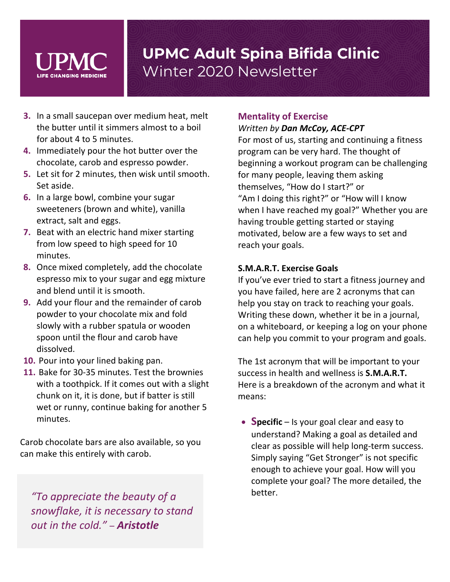- **3.** In a small saucepan over medium heat, melt the butter until it simmers almost to a boil for about 4 to 5 minutes.
- **4.** Immediately pour the hot butter over the chocolate, carob and espresso powder.
- **5.** Let sit for 2 minutes, then wisk until smooth. Set aside.
- **6.** In a large bowl, combine your sugar sweeteners (brown and white), vanilla extract, salt and eggs.
- **7.** Beat with an electric hand mixer starting from low speed to high speed for 10 minutes.
- **8.** Once mixed completely, add the chocolate espresso mix to your sugar and egg mixture and blend until it is smooth.
- **9.** Add your flour and the remainder of carob powder to your chocolate mix and fold slowly with a rubber spatula or wooden spoon until the flour and carob have dissolved.
- **10.** Pour into your lined baking pan.
- **11.** Bake for 30-35 minutes. Test the brownies with a toothpick. If it comes out with a slight chunk on it, it is done, but if batter is still wet or runny, continue baking for another 5 minutes.

Carob chocolate bars are also available, so you can make this entirely with carob.

better. *"To appreciate the beauty of a snowflake, it is necessary to stand out in the cold."* – *Aristotle*

## **Mentality of Exercise**

#### *Written by Dan McCoy, ACE-CPT* For most of us, starting and continuing a fitness

program can be very hard. The thought of beginning a workout program can be challenging for many people, leaving them asking themselves, "How do I start?" or "Am I doing this right?" or "How will I know when I have reached my goal?" Whether you are having trouble getting started or staying motivated, below are a few ways to set and reach your goals.

### **S.M.A.R.T. Exercise Goals**

If you've ever tried to start a fitness journey and you have failed, here are 2 acronyms that can help you stay on track to reaching your goals. Writing these down, whether it be in a journal, on a whiteboard, or keeping a log on your phone can help you commit to your program and goals.

The 1st acronym that will be important to your success in health and wellness is **S.M.A.R.T.** Here is a breakdown of the acronym and what it means:

• **Specific** – Is your goal clear and easy to understand? Making a goal as detailed and clear as possible will help long-term success. Simply saying "Get Stronger" is not specific enough to achieve your goal. How will you complete your goal? The more detailed, the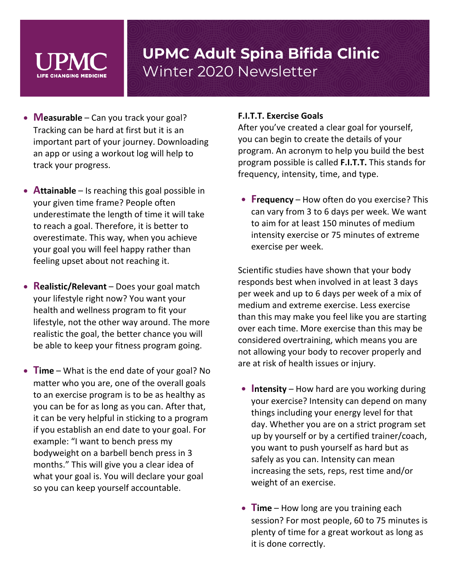- **Measurable** Can you track your goal? Tracking can be hard at first but it is an important part of your journey. Downloading an app or using a workout log will help to track your progress.
- **Attainable** Is reaching this goal possible in your given time frame? People often underestimate the length of time it will take to reach a goal. Therefore, it is better to overestimate. This way, when you achieve your goal you will feel happy rather than feeling upset about not reaching it.
- **Realistic/Relevant** Does your goal match your lifestyle right now? You want your health and wellness program to fit your lifestyle, not the other way around. The more realistic the goal, the better chance you will be able to keep your fitness program going.
- **Time** What is the end date of your goal? No matter who you are, one of the overall goals to an exercise program is to be as healthy as you can be for as long as you can. After that, it can be very helpful in sticking to a program if you establish an end date to your goal. For example: "I want to bench press my bodyweight on a barbell bench press in 3 months." This will give you a clear idea of what your goal is. You will declare your goal so you can keep yourself accountable.

#### **F.I.T.T. Exercise Goals**

After you've created a clear goal for yourself, you can begin to create the details of your program. An acronym to help you build the best program possible is called **F.I.T.T.** This stands for frequency, intensity, time, and type.

• **Frequency** – How often do you exercise? This can vary from 3 to 6 days per week. We want to aim for at least 150 minutes of medium intensity exercise or 75 minutes of extreme exercise per week.

Scientific studies have shown that your body responds best when involved in at least 3 days per week and up to 6 days per week of a mix of medium and extreme exercise. Less exercise than this may make you feel like you are starting over each time. More exercise than this may be considered overtraining, which means you are not allowing your body to recover properly and are at risk of health issues or injury.

- **Intensity**  How hard are you working during your exercise? Intensity can depend on many things including your energy level for that day. Whether you are on a strict program set up by yourself or by a certified trainer/coach, you want to push yourself as hard but as safely as you can. Intensity can mean increasing the sets, reps, rest time and/or weight of an exercise.
- **Time** How long are you training each session? For most people, 60 to 75 minutes is plenty of time for a great workout as long as it is done correctly.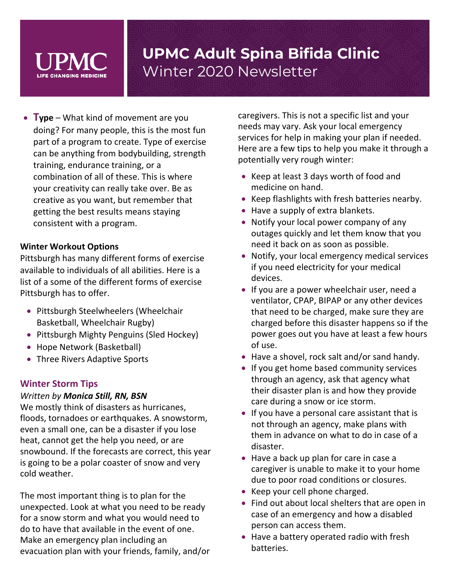

• **Type** – What kind of movement are you doing? For many people, this is the most fun part of a program to create. Type of exercise can be anything from bodybuilding, strength training, endurance training, or a combination of all of these. This is where your creativity can really take over. Be as creative as you want, but remember that getting the best results means staying consistent with a program.

#### **Winter Workout Options**

Pittsburgh has many different forms of exercise available to individuals of all abilities. Here is a list of a some of the different forms of exercise Pittsburgh has to offer.

- Pittsburgh Steelwheelers (Wheelchair Basketball, Wheelchair Rugby)
- Pittsburgh Mighty Penguins (Sled Hockey)
- Hope Network (Basketball)
- Three Rivers Adaptive Sports

#### **Winter Storm Tips**

#### *Written by Monica Still, RN, BSN*

We mostly think of disasters as hurricanes, floods, tornadoes or earthquakes. A snowstorm, even a small one, can be a disaster if you lose heat, cannot get the help you need, or are snowbound. If the forecasts are correct, this year is going to be a polar coaster of snow and very cold weather.

The most important thing is to plan for the unexpected. Look at what you need to be ready for a snow storm and what you would need to do to have that available in the event of one. Make an emergency plan including an evacuation plan with your friends, family, and/or caregivers. This is not a specific list and your needs may vary. Ask your local emergency services for help in making your plan if needed. Here are a few tips to help you make it through a potentially very rough winter:

- Keep at least 3 days worth of food and medicine on hand.
- Keep flashlights with fresh batteries nearby.
- Have a supply of extra blankets.
- Notify your local power company of any outages quickly and let them know that you need it back on as soon as possible.
- Notify, your local emergency medical services if you need electricity for your medical devices.
- If you are a power wheelchair user, need a ventilator, CPAP, BIPAP or any other devices that need to be charged, make sure they are charged before this disaster happens so if the power goes out you have at least a few hours of use.
- Have a shovel, rock salt and/or sand handy.
- If you get home based community services through an agency, ask that agency what their disaster plan is and how they provide care during a snow or ice storm.
- If you have a personal care assistant that is not through an agency, make plans with them in advance on what to do in case of a disaster.
- Have a back up plan for care in case a caregiver is unable to make it to your home due to poor road conditions or closures.
- Keep your cell phone charged.
- Find out about local shelters that are open in case of an emergency and how a disabled person can access them.
- Have a battery operated radio with fresh batteries.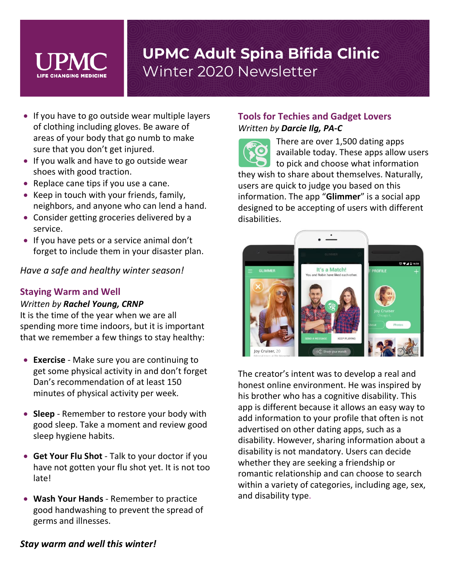

- If you have to go outside wear multiple layers of clothing including gloves. Be aware of areas of your body that go numb to make sure that you don't get injured.
- If you walk and have to go outside wear shoes with good traction.
- Replace cane tips if you use a cane.
- Keep in touch with your friends, family, neighbors, and anyone who can lend a hand.
- Consider getting groceries delivered by a service.
- If you have pets or a service animal don't forget to include them in your disaster plan.

*Have a safe and healthy winter season!*

### **Staying Warm and Well**

### *Written by Rachel Young, CRNP*

It is the time of the year when we are all spending more time indoors, but it is important that we remember a few things to stay healthy:

- **Exercise** Make sure you are continuing to get some physical activity in and don't forget Dan's recommendation of at least 150 minutes of physical activity per week.
- **Sleep** Remember to restore your body with good sleep. Take a moment and review good sleep hygiene habits.
- **Get Your Flu Shot** Talk to your doctor if you have not gotten your flu shot yet. It is not too late!
- **Wash Your Hands** Remember to practice good handwashing to prevent the spread of germs and illnesses.

## **Tools for Techies and Gadget Lovers**  *Written by Darcie Ilg, PA-C*

There are over 1,500 dating apps available today. These apps allow users to pick and choose what information they wish to share about themselves. Naturally, users are quick to judge you based on this information. The app "**Glimmer**" is a social app designed to be accepting of users with different disabilities.



The creator's intent was to develop a real and honest online environment. He was inspired by his brother who has a cognitive disability. This app is different because it allows an easy way to add information to your profile that often is not advertised on other dating apps, such as a disability. However, sharing information about a disability is not mandatory. Users can decide whether they are seeking a friendship or romantic relationship and can choose to search within a variety of categories, including age, sex, and disability type.